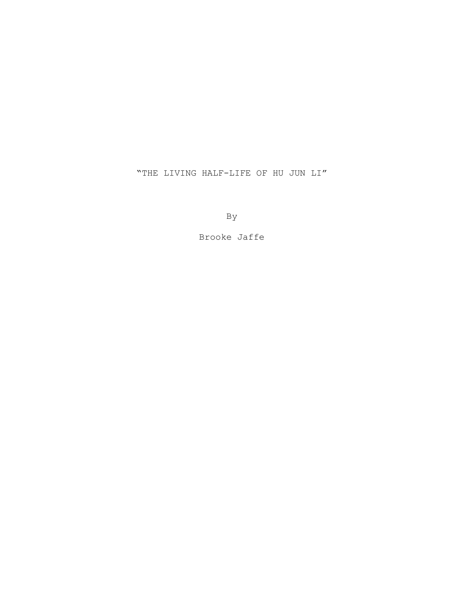"THE LIVING HALF-LIFE OF HU JUN LI"

By

Brooke Jaffe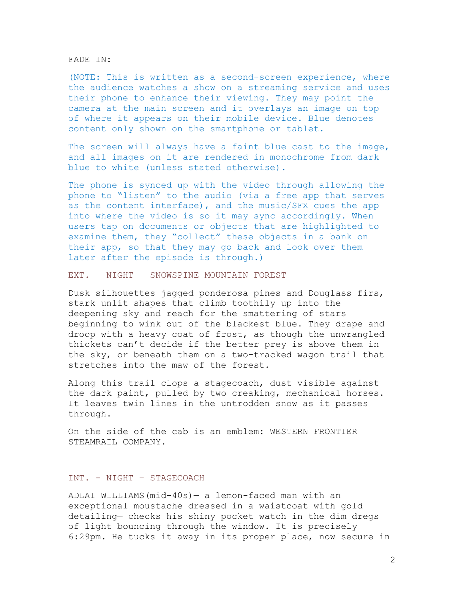FADE IN:

(NOTE: This is written as a second-screen experience, where the audience watches a show on a streaming service and uses their phone to enhance their viewing. They may point the camera at the main screen and it overlays an image on top of where it appears on their mobile device. Blue denotes content only shown on the smartphone or tablet.

The screen will always have a faint blue cast to the image, and all images on it are rendered in monochrome from dark blue to white (unless stated otherwise).

The phone is synced up with the video through allowing the phone to "listen" to the audio (via a free app that serves as the content interface), and the music/SFX cues the app into where the video is so it may sync accordingly. When users tap on documents or objects that are highlighted to examine them, they "collect" these objects in a bank on their app, so that they may go back and look over them later after the episode is through.)

EXT. – NIGHT – SNOWSPINE MOUNTAIN FOREST

Dusk silhouettes jagged ponderosa pines and Douglass firs, stark unlit shapes that climb toothily up into the deepening sky and reach for the smattering of stars beginning to wink out of the blackest blue. They drape and droop with a heavy coat of frost, as though the unwrangled thickets can't decide if the better prey is above them in the sky, or beneath them on a two-tracked wagon trail that stretches into the maw of the forest.

Along this trail clops a stagecoach, dust visible against the dark paint, pulled by two creaking, mechanical horses. It leaves twin lines in the untrodden snow as it passes through.

On the side of the cab is an emblem: WESTERN FRONTIER STEAMRAIL COMPANY.

#### INT. - NIGHT – STAGECOACH

ADLAI WILLIAMS(mid-40s)— a lemon-faced man with an exceptional moustache dressed in a waistcoat with gold detailing— checks his shiny pocket watch in the dim dregs of light bouncing through the window. It is precisely 6:29pm. He tucks it away in its proper place, now secure in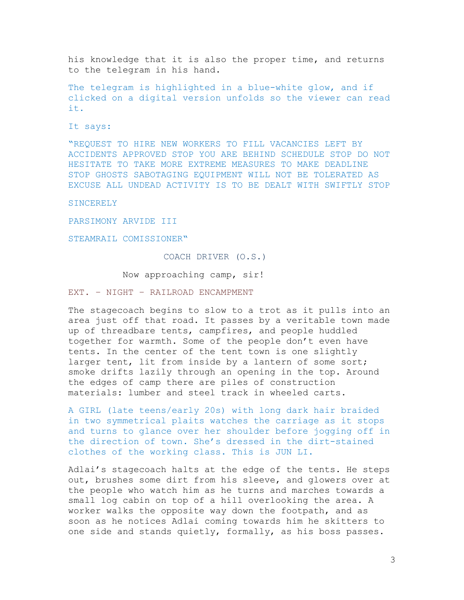his knowledge that it is also the proper time, and returns to the telegram in his hand.

The telegram is highlighted in a blue-white glow, and if clicked on a digital version unfolds so the viewer can read it.

It says:

"REQUEST TO HIRE NEW WORKERS TO FILL VACANCIES LEFT BY ACCIDENTS APPROVED STOP YOU ARE BEHIND SCHEDULE STOP DO NOT HESITATE TO TAKE MORE EXTREME MEASURES TO MAKE DEADLINE STOP GHOSTS SABOTAGING EQUIPMENT WILL NOT BE TOLERATED AS EXCUSE ALL UNDEAD ACTIVITY IS TO BE DEALT WITH SWIFTLY STOP

**SINCERELY** 

PARSIMONY ARVIDE III

STEAMRAIL COMISSIONER"

### COACH DRIVER (O.S.)

Now approaching camp, sir!

EXT. – NIGHT – RAILROAD ENCAMPMENT

The stagecoach begins to slow to a trot as it pulls into an area just off that road. It passes by a veritable town made up of threadbare tents, campfires, and people huddled together for warmth. Some of the people don't even have tents. In the center of the tent town is one slightly larger tent, lit from inside by a lantern of some sort; smoke drifts lazily through an opening in the top. Around the edges of camp there are piles of construction materials: lumber and steel track in wheeled carts.

A GIRL (late teens/early 20s) with long dark hair braided in two symmetrical plaits watches the carriage as it stops and turns to glance over her shoulder before jogging off in the direction of town. She's dressed in the dirt-stained clothes of the working class. This is JUN LI.

Adlai's stagecoach halts at the edge of the tents. He steps out, brushes some dirt from his sleeve, and glowers over at the people who watch him as he turns and marches towards a small log cabin on top of a hill overlooking the area. A worker walks the opposite way down the footpath, and as soon as he notices Adlai coming towards him he skitters to one side and stands quietly, formally, as his boss passes.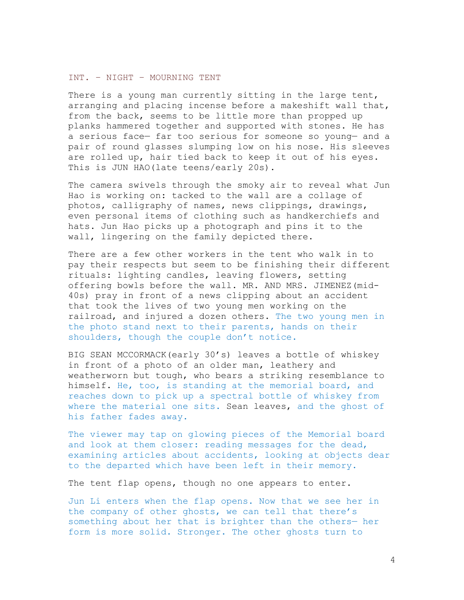# INT. – NIGHT – MOURNING TENT

There is a young man currently sitting in the large tent, arranging and placing incense before a makeshift wall that, from the back, seems to be little more than propped up planks hammered together and supported with stones. He has a serious face— far too serious for someone so young— and a pair of round glasses slumping low on his nose. His sleeves are rolled up, hair tied back to keep it out of his eyes. This is JUN HAO (late teens/early 20s).

The camera swivels through the smoky air to reveal what Jun Hao is working on: tacked to the wall are a collage of photos, calligraphy of names, news clippings, drawings, even personal items of clothing such as handkerchiefs and hats. Jun Hao picks up a photograph and pins it to the wall, lingering on the family depicted there.

There are a few other workers in the tent who walk in to pay their respects but seem to be finishing their different rituals: lighting candles, leaving flowers, setting offering bowls before the wall. MR. AND MRS. JIMENEZ(mid-40s) pray in front of a news clipping about an accident that took the lives of two young men working on the railroad, and injured a dozen others. The two young men in the photo stand next to their parents, hands on their shoulders, though the couple don't notice.

BIG SEAN MCCORMACK(early 30's) leaves a bottle of whiskey in front of a photo of an older man, leathery and weatherworn but tough, who bears a striking resemblance to himself. He, too, is standing at the memorial board, and reaches down to pick up a spectral bottle of whiskey from where the material one sits. Sean leaves, and the ghost of his father fades away.

The viewer may tap on glowing pieces of the Memorial board and look at them closer: reading messages for the dead, examining articles about accidents, looking at objects dear to the departed which have been left in their memory.

The tent flap opens, though no one appears to enter.

Jun Li enters when the flap opens. Now that we see her in the company of other ghosts, we can tell that there's something about her that is brighter than the others— her form is more solid. Stronger. The other ghosts turn to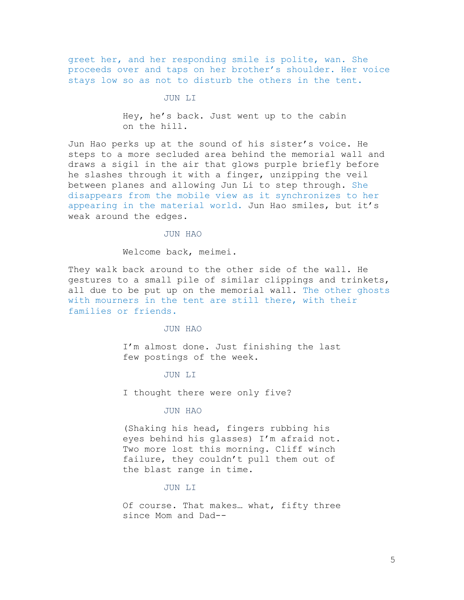greet her, and her responding smile is polite, wan. She proceeds over and taps on her brother's shoulder. Her voice stays low so as not to disturb the others in the tent.

#### JUN LI

Hey, he's back. Just went up to the cabin on the hill.

Jun Hao perks up at the sound of his sister's voice. He steps to a more secluded area behind the memorial wall and draws a sigil in the air that glows purple briefly before he slashes through it with a finger, unzipping the veil between planes and allowing Jun Li to step through. She disappears from the mobile view as it synchronizes to her appearing in the material world. Jun Hao smiles, but it's weak around the edges.

JUN HAO

Welcome back, meimei.

They walk back around to the other side of the wall. He gestures to a small pile of similar clippings and trinkets, all due to be put up on the memorial wall. The other ghosts with mourners in the tent are still there, with their families or friends.

# JUN HAO

I'm almost done. Just finishing the last few postings of the week.

# JUN LI

I thought there were only five?

#### JUN HAO

(Shaking his head, fingers rubbing his eyes behind his glasses) I'm afraid not. Two more lost this morning. Cliff winch failure, they couldn't pull them out of the blast range in time.

### JUN LI

Of course. That makes… what, fifty three since Mom and Dad--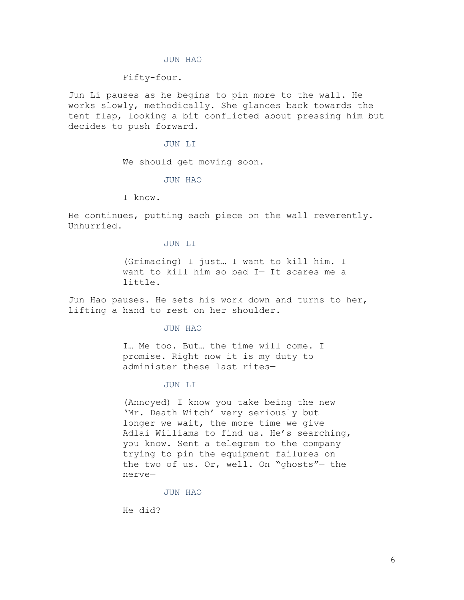#### JUN HAO

### Fifty-four.

Jun Li pauses as he begins to pin more to the wall. He works slowly, methodically. She glances back towards the tent flap, looking a bit conflicted about pressing him but decides to push forward.

#### JUN LI

We should get moving soon.

## JUN HAO

I know.

He continues, putting each piece on the wall reverently. Unhurried.

### JUN LI

(Grimacing) I just… I want to kill him. I want to kill him so bad I— It scares me a little.

Jun Hao pauses. He sets his work down and turns to her, lifting a hand to rest on her shoulder.

#### JUN HAO

I… Me too. But… the time will come. I promise. Right now it is my duty to administer these last rites—

### JUN LI

(Annoyed) I know you take being the new 'Mr. Death Witch' very seriously but longer we wait, the more time we give Adlai Williams to find us. He's searching, you know. Sent a telegram to the company trying to pin the equipment failures on the two of us. Or, well. On "ghosts"— the nerve—

## JUN HAO

He did?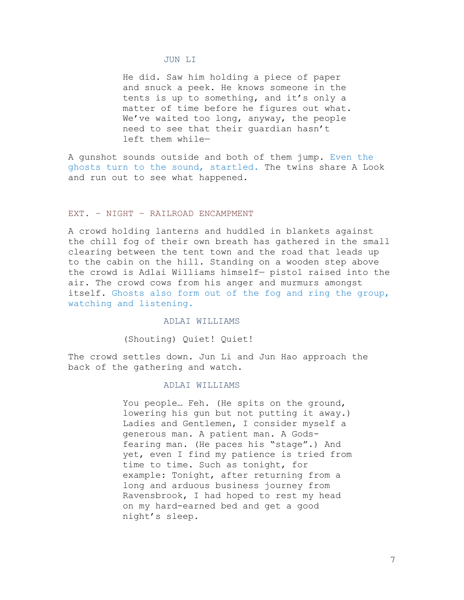#### JUN LI

He did. Saw him holding a piece of paper and snuck a peek. He knows someone in the tents is up to something, and it's only a matter of time before he figures out what. We've waited too long, anyway, the people need to see that their guardian hasn't left them while—

A gunshot sounds outside and both of them jump. Even the ghosts turn to the sound, startled. The twins share A Look and run out to see what happened.

# EXT. – NIGHT – RAILROAD ENCAMPMENT

A crowd holding lanterns and huddled in blankets against the chill fog of their own breath has gathered in the small clearing between the tent town and the road that leads up to the cabin on the hill. Standing on a wooden step above the crowd is Adlai Williams himself— pistol raised into the air. The crowd cows from his anger and murmurs amongst itself. Ghosts also form out of the fog and ring the group, watching and listening.

# ADLAI WILLIAMS

(Shouting) Quiet! Quiet!

The crowd settles down. Jun Li and Jun Hao approach the back of the gathering and watch.

# ADLAI WILLIAMS

You people… Feh. (He spits on the ground, lowering his gun but not putting it away.) Ladies and Gentlemen, I consider myself a generous man. A patient man. A Godsfearing man. (He paces his "stage".) And yet, even I find my patience is tried from time to time. Such as tonight, for example: Tonight, after returning from a long and arduous business journey from Ravensbrook, I had hoped to rest my head on my hard-earned bed and get a good night's sleep.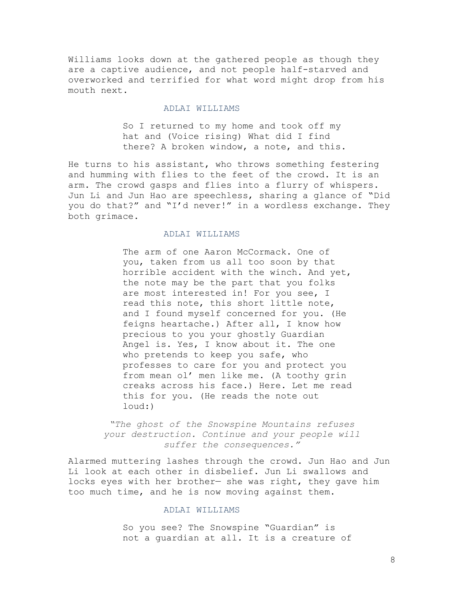Williams looks down at the gathered people as though they are a captive audience, and not people half-starved and overworked and terrified for what word might drop from his mouth next.

# ADLAI WILLIAMS

So I returned to my home and took off my hat and (Voice rising) What did I find there? A broken window, a note, and this.

He turns to his assistant, who throws something festering and humming with flies to the feet of the crowd. It is an arm. The crowd gasps and flies into a flurry of whispers. Jun Li and Jun Hao are speechless, sharing a glance of "Did you do that?" and "I'd never!" in a wordless exchange. They both grimace.

# ADLAI WILLIAMS

The arm of one Aaron McCormack. One of you, taken from us all too soon by that horrible accident with the winch. And yet, the note may be the part that you folks are most interested in! For you see, I read this note, this short little note, and I found myself concerned for you. (He feigns heartache.) After all, I know how precious to you your ghostly Guardian Angel is. Yes, I know about it. The one who pretends to keep you safe, who professes to care for you and protect you from mean ol' men like me. (A toothy grin creaks across his face.) Here. Let me read this for you. (He reads the note out loud:)

*"The ghost of the Snowspine Mountains refuses your destruction. Continue and your people will suffer the consequences."*

Alarmed muttering lashes through the crowd. Jun Hao and Jun Li look at each other in disbelief. Jun Li swallows and locks eyes with her brother— she was right, they gave him too much time, and he is now moving against them.

## ADLAI WILLIAMS

So you see? The Snowspine "Guardian" is not a guardian at all. It is a creature of